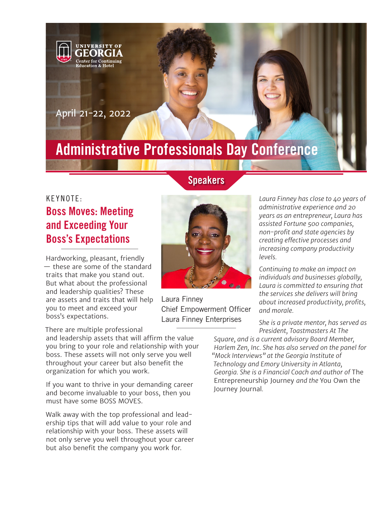

# Administrative Professionals Day Conference

Laura Finney

## KEYNOTE: Boss Moves: Meeting and Exceeding Your Boss's Expectations

Hardworking, pleasant, friendly — these are some of the standard traits that make you stand out. But what about the professional and leadership qualities? These are assets and traits that will help you to meet and exceed your boss's expectations.

There are multiple professional

and leadership assets that will affirm the value you bring to your role and relationship with your boss. These assets will not only serve you well throughout your career but also benefit the organization for which you work.

If you want to thrive in your demanding career and become invaluable to your boss, then you must have some BOSS MOVES.

Walk away with the top professional and leadership tips that will add value to your role and relationship with your boss. These assets will not only serve you well throughout your career but also benefit the company you work for.

Chief Empowerment Officer Laura Finney Enterprises

*Laura Finney has close to 40 years of administrative experience and 20 years as an entrepreneur, Laura has assisted Fortune 500 companies, non-profit and state agencies by creating effective processes and increasing company productivity levels.*

*Continuing to make an impact on individuals and businesses globally, Laura is committed to ensuring that the services she delivers will bring about increased productivity, profits, and morale.*

*She is a private mentor, has served as President, Toastmasters At The* 

*Square, and is a current advisory Board Member, Harlem Zen, Inc. She has also served on the panel for "Mock Interviews" at the Georgia Institute of Technology and Emory University in Atlanta, Georgia. She is a Financial Coach and author of* The Entrepreneurship Journey *and the* You Own the Journey Journal*.*

**Speakers**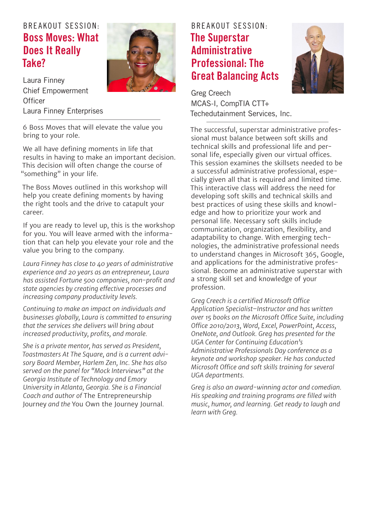### B REAKOUT SESSION: Boss Moves: What Does It Really Take?



Laura Finney Chief Empowerment **Officer** Laura Finney Enterprises

6 Boss Moves that will elevate the value you bring to your role.

We all have defining moments in life that results in having to make an important decision. This decision will often change the course of "something" in your life.

The Boss Moves outlined in this workshop will help you create defining moments by having the right tools and the drive to catapult your career.

If you are ready to level up, this is the workshop for you. You will leave armed with the information that can help you elevate your role and the value you bring to the company.

*Laura Finney has close to 40 years of administrative experience and 20 years as an entrepreneur, Laura has assisted Fortune 500 companies, non-profit and state agencies by creating effective processes and increasing company productivity levels.*

*Continuing to make an impact on individuals and businesses globally, Laura is committed to ensuring that the services she delivers will bring about increased productivity, profits, and morale.*

*She is a private mentor, has served as President, Toastmasters At The Square, and is a current advisory Board Member, Harlem Zen, Inc. She has also served on the panel for "Mock Interviews" at the Georgia Institute of Technology and Emory University in Atlanta, Georgia. She is a Financial Coach and author of* The Entrepreneurship Journey *and the* You Own the Journey Journal*.*

#### B REAKOUT SESSION: The Superstar **Administrative** Professional: The Great Balancing Acts



Greg Creech MCAS-I, CompTIA CTT+ Techedutainment Services, Inc.

The successful, superstar administrative professional must balance between soft skills and technical skills and professional life and personal life, especially given our virtual offices. This session examines the skillsets needed to be a successful administrative professional, especially given all that is required and limited time. This interactive class will address the need for developing soft skills and technical skills and best practices of using these skills and knowledge and how to prioritize your work and personal life. Necessary soft skills include communication, organization, flexibility, and adaptability to change. With emerging technologies, the administrative professional needs to understand changes in Microsoft 365, Google, and applications for the administrative professional. Become an administrative superstar with a strong skill set and knowledge of your profession.

*Greg Creech is a certified Microsoft Office Application Specialist–Instructor and has written over 15 books on the Microsoft Office Suite, including Office 2010/2013, Word, Excel, PowerPoint, Access, OneNote, and Outlook. Greg has presented for the UGA Center for Continuing Education's Administrative Professionals Day conference as a keynote and workshop speaker. He has conducted Microsoft Office and soft skills training for several UGA departments.*

*Greg is also an award-winning actor and comedian. His speaking and training programs are filled with music, humor, and learning. Get ready to laugh and learn with Greg.*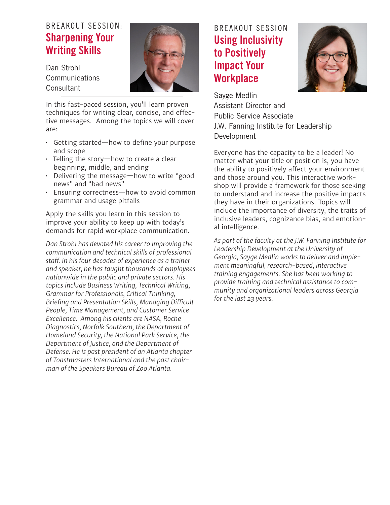#### BREAKOUT SESSION: Sharpening Your Writing Skills

Dan Strohl Communications **Consultant** 



In this fast-paced session, you'll learn proven techniques for writing clear, concise, and effective messages. Among the topics we will cover are:

- Getting started—how to define your purpose and scope
- Telling the story—how to create a clear beginning, middle, and ending
- Delivering the message—how to write "good news" and "bad news"
- Ensuring correctness—how to avoid common grammar and usage pitfalls

Apply the skills you learn in this session to improve your ability to keep up with today's demands for rapid workplace communication.

*Dan Strohl has devoted his career to improving the communication and technical skills of professional staff. In his four decades of experience as a trainer and speaker, he has taught thousands of employees nationwide in the public and private sectors. His topics include Business Writing, Technical Writing, Grammar for Professionals, Critical Thinking, Briefing and Presentation Skills, Managing Difficult People, Time Management, and Customer Service Excellence. Among his clients are NASA, Roche Diagnostics, Norfolk Southern, the Department of Homeland Security, the National Park Service, the Department of Justice, and the Department of Defense. He is past president of an Atlanta chapter of Toastmasters International and the past chairman of the Speakers Bureau of Zoo Atlanta.*

### BREAKOUT SESSION Using Inclusivity to Positively Impact Your **Workplace**



Sayge Medlin Assistant Director and Public Service Associate J.W. Fanning Institute for Leadership Development

Everyone has the capacity to be a leader! No matter what your title or position is, you have the ability to positively affect your environment and those around you. This interactive workshop will provide a framework for those seeking to understand and increase the positive impacts they have in their organizations. Topics will include the importance of diversity, the traits of inclusive leaders, cognizance bias, and emotional intelligence.

*As part of the faculty at the J.W. Fanning Institute for Leadership Development at the University of Georgia, Sayge Medlin works to deliver and implement meaningful, research-based, interactive training engagements. She has been working to provide training and technical assistance to community and organizational leaders across Georgia for the last 23 years.*